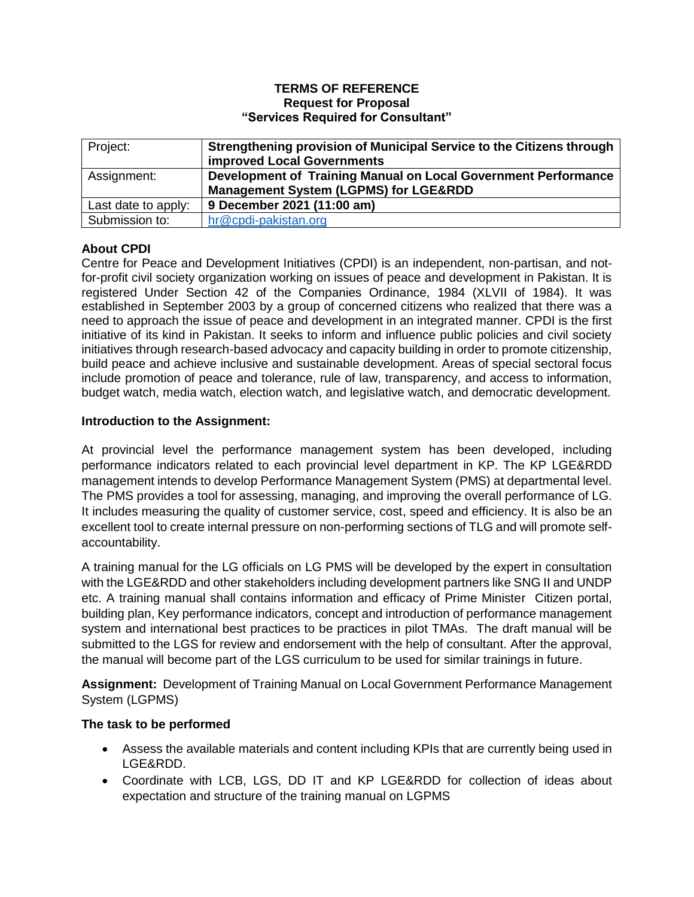### **TERMS OF REFERENCE Request for Proposal "Services Required for Consultant"**

| Project:            | Strengthening provision of Municipal Service to the Citizens through<br><b>improved Local Governments</b> |
|---------------------|-----------------------------------------------------------------------------------------------------------|
| Assignment:         | Development of Training Manual on Local Government Performance                                            |
|                     | <b>Management System (LGPMS) for LGE&amp;RDD</b>                                                          |
| Last date to apply: | 9 December 2021 (11:00 am)                                                                                |
| Submission to:      | hr@cpdi-pakistan.org                                                                                      |

# **About CPDI**

Centre for Peace and Development Initiatives (CPDI) is an independent, non-partisan, and notfor-profit civil society organization working on issues of peace and development in Pakistan. It is registered Under Section 42 of the Companies Ordinance, 1984 (XLVII of 1984). It was established in September 2003 by a group of concerned citizens who realized that there was a need to approach the issue of peace and development in an integrated manner. CPDI is the first initiative of its kind in Pakistan. It seeks to inform and influence public policies and civil society initiatives through research-based advocacy and capacity building in order to promote citizenship, build peace and achieve inclusive and sustainable development. Areas of special sectoral focus include promotion of peace and tolerance, rule of law, transparency, and access to information, budget watch, media watch, election watch, and legislative watch, and democratic development.

# **Introduction to the Assignment:**

At provincial level the performance management system has been developed, including performance indicators related to each provincial level department in KP. The KP LGE&RDD management intends to develop Performance Management System (PMS) at departmental level. The PMS provides a tool for assessing, managing, and improving the overall performance of LG. It includes measuring the quality of customer service, cost, speed and efficiency. It is also be an excellent tool to create internal pressure on non-performing sections of TLG and will promote selfaccountability.

A training manual for the LG officials on LG PMS will be developed by the expert in consultation with the LGE&RDD and other stakeholders including development partners like SNG II and UNDP etc. A training manual shall contains information and efficacy of Prime Minister Citizen portal, building plan, Key performance indicators, concept and introduction of performance management system and international best practices to be practices in pilot TMAs. The draft manual will be submitted to the LGS for review and endorsement with the help of consultant. After the approval, the manual will become part of the LGS curriculum to be used for similar trainings in future.

**Assignment:** Development of Training Manual on Local Government Performance Management System (LGPMS)

# **The task to be performed**

- Assess the available materials and content including KPIs that are currently being used in LGE&RDD.
- Coordinate with LCB, LGS, DD IT and KP LGE&RDD for collection of ideas about expectation and structure of the training manual on LGPMS